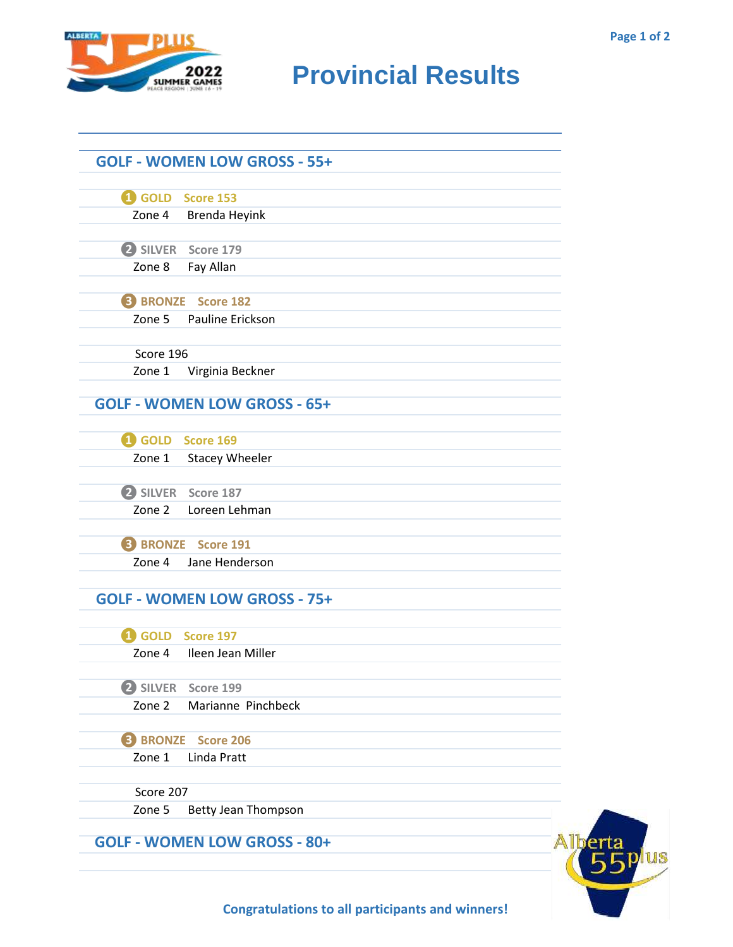

## **RIDER CAMES PROVINCIAL RESULTS**

|           | GOLD Score 153                      |  |
|-----------|-------------------------------------|--|
|           | Zone 4 Brenda Heyink                |  |
|           | 2 SILVER Score 179                  |  |
| Zone 8    | Fay Allan                           |  |
|           | <b>8</b> BRONZE Score 182           |  |
| Zone 5    | Pauline Erickson                    |  |
| Score 196 |                                     |  |
| Zone 1    | Virginia Beckner                    |  |
|           | <b>GOLF - WOMEN LOW GROSS - 65+</b> |  |
|           | GOLD Score 169                      |  |
|           | Zone 1 Stacey Wheeler               |  |
|           | <b>2</b> SILVER Score 187           |  |
|           | Zone 2 Loreen Lehman                |  |
|           | <b>B</b> BRONZE Score 191           |  |
| Zone 4    | Jane Henderson                      |  |
|           | <b>GOLF - WOMEN LOW GROSS - 75+</b> |  |
|           | 4 GOLD Score 197                    |  |
| Zone 4    | Ileen Jean Miller                   |  |
|           | 2 SILVER Score 199                  |  |
| Zone 2    | Marianne Pinchbeck                  |  |
|           | <b>B</b> BRONZE Score 206           |  |
| Zone 1    | Linda Pratt                         |  |
| Score 207 |                                     |  |
| Zone 5    | Betty Jean Thompson                 |  |